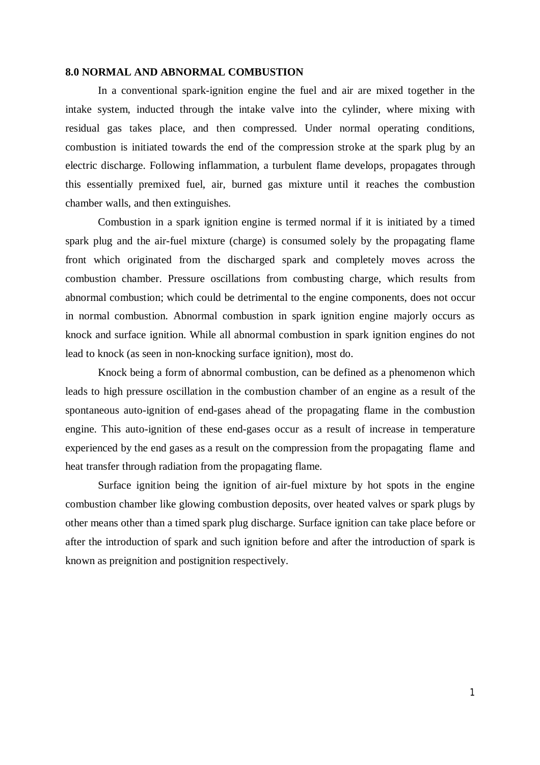### **8.0 NORMAL AND ABNORMAL COMBUSTION**

In a conventional spark-ignition engine the fuel and air are mixed together in the intake system, inducted through the intake valve into the cylinder, where mixing with residual gas takes place, and then compressed. Under normal operating conditions, combustion is initiated towards the end of the compression stroke at the spark plug by an electric discharge. Following inflammation, a turbulent flame develops, propagates through this essentially premixed fuel, air, burned gas mixture until it reaches the combustion chamber walls, and then extinguishes.

Combustion in a spark ignition engine is termed normal if it is initiated by a timed spark plug and the air-fuel mixture (charge) is consumed solely by the propagating flame front which originated from the discharged spark and completely moves across the combustion chamber. Pressure oscillations from combusting charge, which results from abnormal combustion; which could be detrimental to the engine components, does not occur in normal combustion. Abnormal combustion in spark ignition engine majorly occurs as knock and surface ignition. While all abnormal combustion in spark ignition engines do not lead to knock (as seen in non-knocking surface ignition), most do.

Knock being a form of abnormal combustion, can be defined as a phenomenon which leads to high pressure oscillation in the combustion chamber of an engine as a result of the spontaneous auto-ignition of end-gases ahead of the propagating flame in the combustion engine. This auto-ignition of these end-gases occur as a result of increase in temperature experienced by the end gases as a result on the compression from the propagating flame and heat transfer through radiation from the propagating flame.

Surface ignition being the ignition of air-fuel mixture by hot spots in the engine combustion chamber like glowing combustion deposits, over heated valves or spark plugs by other means other than a timed spark plug discharge. Surface ignition can take place before or after the introduction of spark and such ignition before and after the introduction of spark is known as preignition and postignition respectively.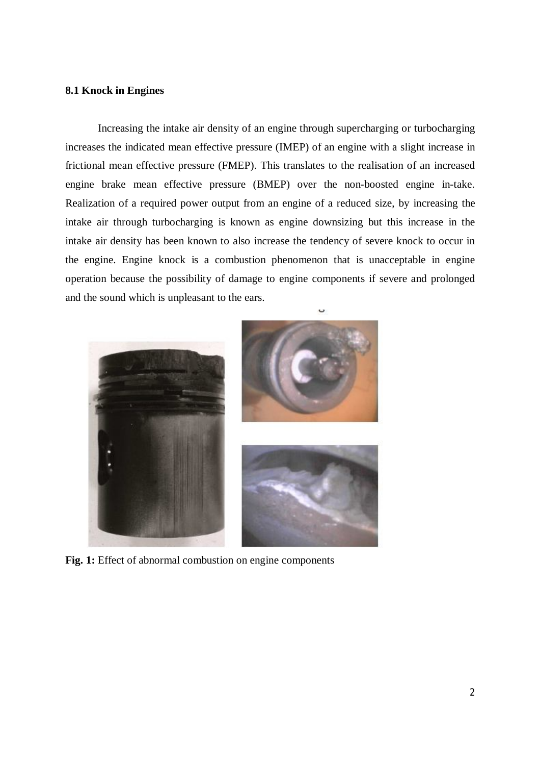# **8.1 Knock in Engines**

Increasing the intake air density of an engine through supercharging or turbocharging increases the indicated mean effective pressure (IMEP) of an engine with a slight increase in frictional mean effective pressure (FMEP). This translates to the realisation of an increased engine brake mean effective pressure (BMEP) over the non-boosted engine in-take. Realization of a required power output from an engine of a reduced size, by increasing the intake air through turbocharging is known as engine downsizing but this increase in the intake air density has been known to also increase the tendency of severe knock to occur in the engine. Engine knock is a combustion phenomenon that is unacceptable in engine operation because the possibility of damage to engine components if severe and prolonged and the sound which is unpleasant to the ears.



Fig. 1: Effect of abnormal combustion on engine components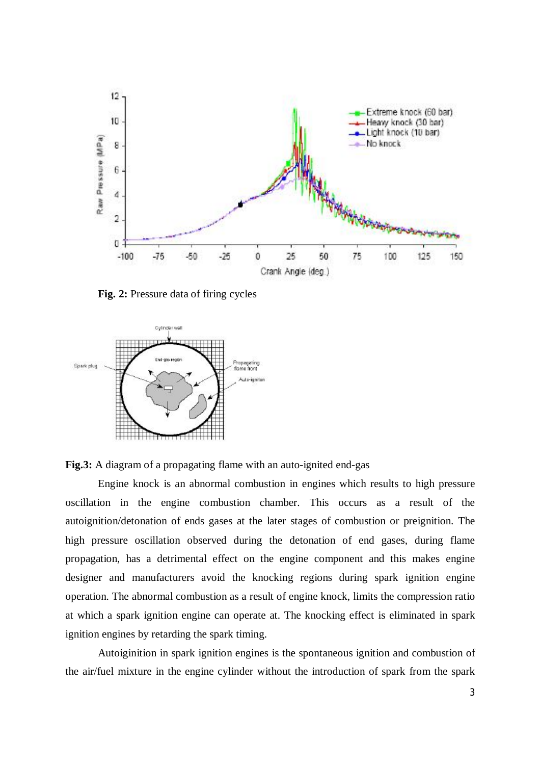

**Fig. 2:** Pressure data of firing cycles



**Fig.3:** A diagram of a propagating flame with an auto-ignited end-gas

Engine knock is an abnormal combustion in engines which results to high pressure oscillation in the engine combustion chamber. This occurs as a result of the autoignition/detonation of ends gases at the later stages of combustion or preignition. The high pressure oscillation observed during the detonation of end gases, during flame propagation, has a detrimental effect on the engine component and this makes engine designer and manufacturers avoid the knocking regions during spark ignition engine operation. The abnormal combustion as a result of engine knock, limits the compression ratio at which a spark ignition engine can operate at. The knocking effect is eliminated in spark ignition engines by retarding the spark timing.

Autoiginition in spark ignition engines is the spontaneous ignition and combustion of the air/fuel mixture in the engine cylinder without the introduction of spark from the spark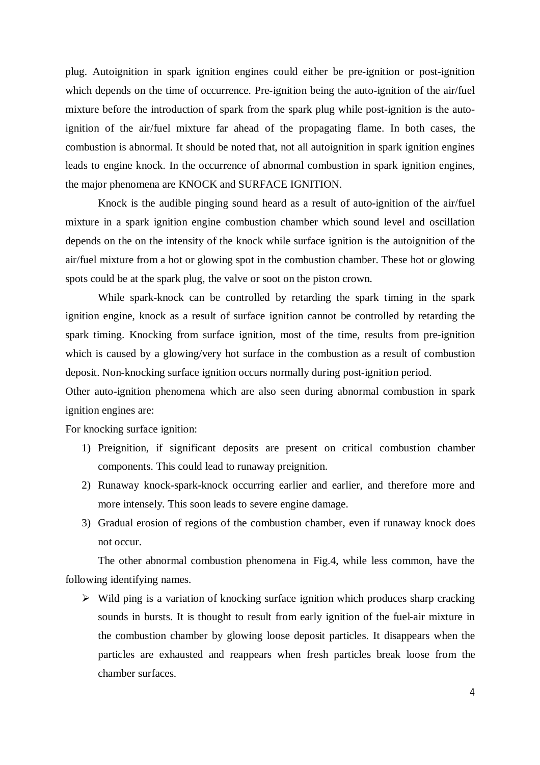plug. Autoignition in spark ignition engines could either be pre-ignition or post-ignition which depends on the time of occurrence. Pre-ignition being the auto-ignition of the air/fuel mixture before the introduction of spark from the spark plug while post-ignition is the autoignition of the air/fuel mixture far ahead of the propagating flame. In both cases, the combustion is abnormal. It should be noted that, not all autoignition in spark ignition engines leads to engine knock. In the occurrence of abnormal combustion in spark ignition engines, the major phenomena are KNOCK and SURFACE IGNITION.

Knock is the audible pinging sound heard as a result of auto-ignition of the air/fuel mixture in a spark ignition engine combustion chamber which sound level and oscillation depends on the on the intensity of the knock while surface ignition is the autoignition of the air/fuel mixture from a hot or glowing spot in the combustion chamber. These hot or glowing spots could be at the spark plug, the valve or soot on the piston crown.

While spark-knock can be controlled by retarding the spark timing in the spark ignition engine, knock as a result of surface ignition cannot be controlled by retarding the spark timing. Knocking from surface ignition, most of the time, results from pre-ignition which is caused by a glowing/very hot surface in the combustion as a result of combustion deposit. Non-knocking surface ignition occurs normally during post-ignition period.

Other auto-ignition phenomena which are also seen during abnormal combustion in spark ignition engines are:

For knocking surface ignition:

- 1) Preignition, if significant deposits are present on critical combustion chamber components. This could lead to runaway preignition.
- 2) Runaway knock-spark-knock occurring earlier and earlier, and therefore more and more intensely. This soon leads to severe engine damage.
- 3) Gradual erosion of regions of the combustion chamber, even if runaway knock does not occur.

The other abnormal combustion phenomena in Fig.4, while less common, have the following identifying names.

 $\triangleright$  Wild ping is a variation of knocking surface ignition which produces sharp cracking sounds in bursts. It is thought to result from early ignition of the fuel-air mixture in the combustion chamber by glowing loose deposit particles. It disappears when the particles are exhausted and reappears when fresh particles break loose from the chamber surfaces.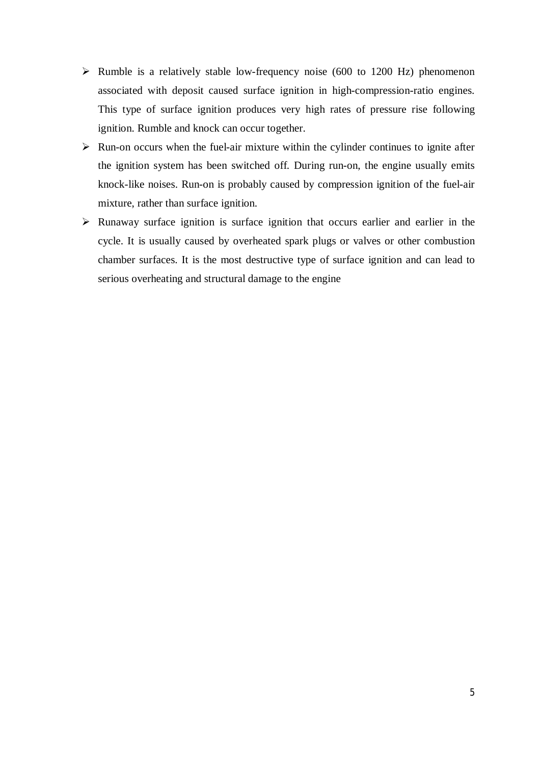- $\triangleright$  Rumble is a relatively stable low-frequency noise (600 to 1200 Hz) phenomenon associated with deposit caused surface ignition in high-compression-ratio engines. This type of surface ignition produces very high rates of pressure rise following ignition. Rumble and knock can occur together.
- $\triangleright$  Run-on occurs when the fuel-air mixture within the cylinder continues to ignite after the ignition system has been switched off. During run-on, the engine usually emits knock-like noises. Run-on is probably caused by compression ignition of the fuel-air mixture, rather than surface ignition.
- $\triangleright$  Runaway surface ignition is surface ignition that occurs earlier and earlier in the cycle. It is usually caused by overheated spark plugs or valves or other combustion chamber surfaces. It is the most destructive type of surface ignition and can lead to serious overheating and structural damage to the engine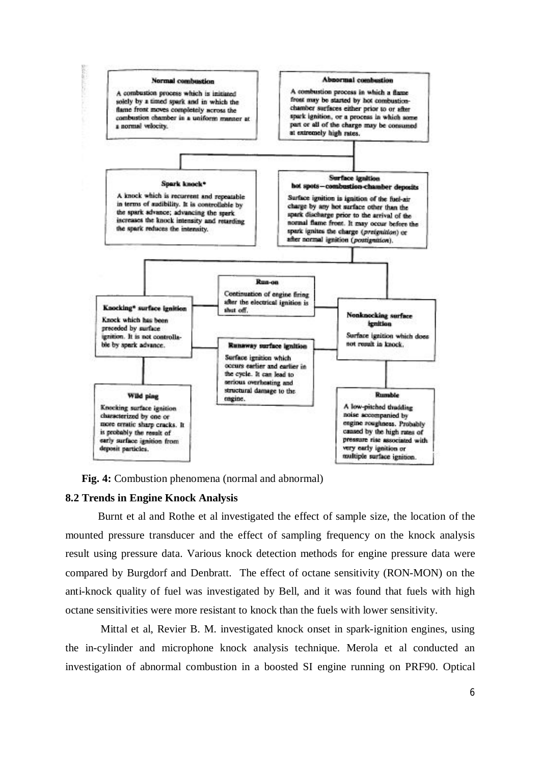

**Fig. 4:** Combustion phenomena (normal and abnormal)

### **8.2 Trends in Engine Knock Analysis**

Burnt et al and Rothe et al investigated the effect of sample size, the location of the mounted pressure transducer and the effect of sampling frequency on the knock analysis result using pressure data. Various knock detection methods for engine pressure data were compared by Burgdorf and Denbratt. The effect of octane sensitivity (RON-MON) on the anti-knock quality of fuel was investigated by Bell, and it was found that fuels with high octane sensitivities were more resistant to knock than the fuels with lower sensitivity.

Mittal et al, Revier B. M. investigated knock onset in spark-ignition engines, using the in-cylinder and microphone knock analysis technique. Merola et al conducted an investigation of abnormal combustion in a boosted SI engine running on PRF90. Optical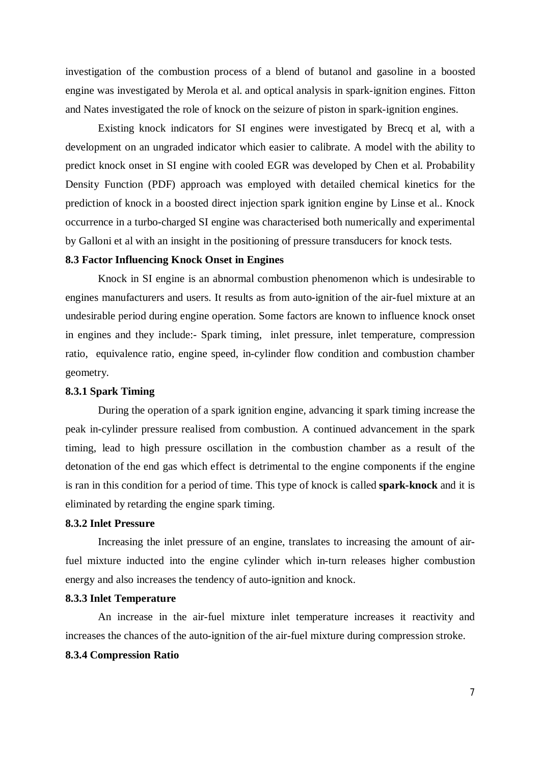investigation of the combustion process of a blend of butanol and gasoline in a boosted engine was investigated by Merola et al. and optical analysis in spark-ignition engines. Fitton and Nates investigated the role of knock on the seizure of piston in spark-ignition engines.

Existing knock indicators for SI engines were investigated by Brecq et al, with a development on an ungraded indicator which easier to calibrate. A model with the ability to predict knock onset in SI engine with cooled EGR was developed by Chen et al. Probability Density Function (PDF) approach was employed with detailed chemical kinetics for the prediction of knock in a boosted direct injection spark ignition engine by Linse et al.. Knock occurrence in a turbo-charged SI engine was characterised both numerically and experimental by Galloni et al with an insight in the positioning of pressure transducers for knock tests.

## **8.3 Factor Influencing Knock Onset in Engines**

Knock in SI engine is an abnormal combustion phenomenon which is undesirable to engines manufacturers and users. It results as from auto-ignition of the air-fuel mixture at an undesirable period during engine operation. Some factors are known to influence knock onset in engines and they include:- Spark timing, inlet pressure, inlet temperature, compression ratio, equivalence ratio, engine speed, in-cylinder flow condition and combustion chamber geometry.

## **8.3.1 Spark Timing**

During the operation of a spark ignition engine, advancing it spark timing increase the peak in-cylinder pressure realised from combustion. A continued advancement in the spark timing, lead to high pressure oscillation in the combustion chamber as a result of the detonation of the end gas which effect is detrimental to the engine components if the engine is ran in this condition for a period of time. This type of knock is called **spark-knock** and it is eliminated by retarding the engine spark timing.

## **8.3.2 Inlet Pressure**

Increasing the inlet pressure of an engine, translates to increasing the amount of airfuel mixture inducted into the engine cylinder which in-turn releases higher combustion energy and also increases the tendency of auto-ignition and knock.

### **8.3.3 Inlet Temperature**

An increase in the air-fuel mixture inlet temperature increases it reactivity and increases the chances of the auto-ignition of the air-fuel mixture during compression stroke.

### **8.3.4 Compression Ratio**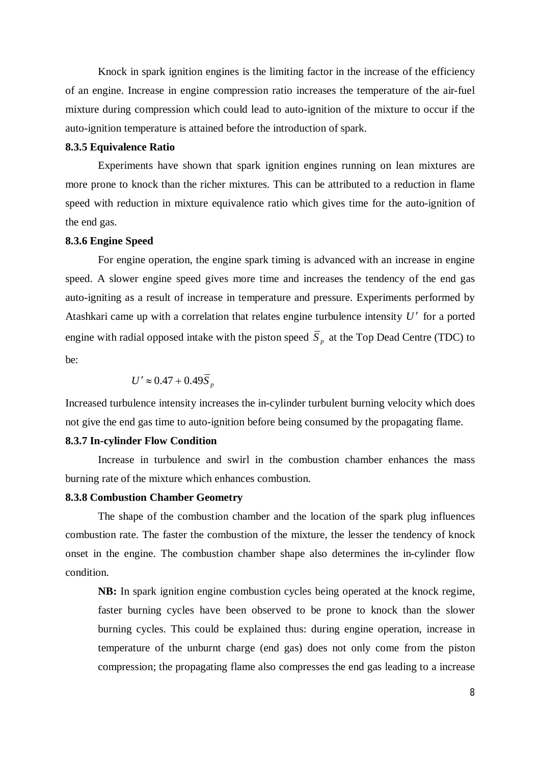Knock in spark ignition engines is the limiting factor in the increase of the efficiency of an engine. Increase in engine compression ratio increases the temperature of the air-fuel mixture during compression which could lead to auto-ignition of the mixture to occur if the auto-ignition temperature is attained before the introduction of spark.

## **8.3.5 Equivalence Ratio**

Experiments have shown that spark ignition engines running on lean mixtures are more prone to knock than the richer mixtures. This can be attributed to a reduction in flame speed with reduction in mixture equivalence ratio which gives time for the auto-ignition of the end gas.

## **8.3.6 Engine Speed**

For engine operation, the engine spark timing is advanced with an increase in engine speed. A slower engine speed gives more time and increases the tendency of the end gas auto-igniting as a result of increase in temperature and pressure. Experiments performed by Atashkari came up with a correlation that relates engine turbulence intensity U' for a ported engine with radial opposed intake with the piston speed  $S_p$  at the Top Dead Centre (TDC) to be:

$$
U' \approx 0.47 + 0.49 \overline{S}_p
$$

Increased turbulence intensity increases the in-cylinder turbulent burning velocity which does not give the end gas time to auto-ignition before being consumed by the propagating flame.

### **8.3.7 In-cylinder Flow Condition**

Increase in turbulence and swirl in the combustion chamber enhances the mass burning rate of the mixture which enhances combustion.

## **8.3.8 Combustion Chamber Geometry**

The shape of the combustion chamber and the location of the spark plug influences combustion rate. The faster the combustion of the mixture, the lesser the tendency of knock onset in the engine. The combustion chamber shape also determines the in-cylinder flow condition.

**NB:** In spark ignition engine combustion cycles being operated at the knock regime, faster burning cycles have been observed to be prone to knock than the slower burning cycles. This could be explained thus: during engine operation, increase in temperature of the unburnt charge (end gas) does not only come from the piston compression; the propagating flame also compresses the end gas leading to a increase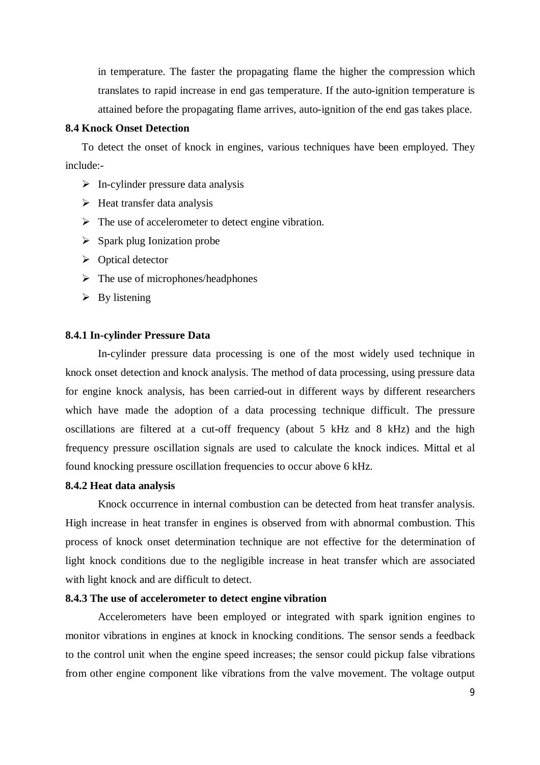in temperature. The faster the propagating flame the higher the compression which translates to rapid increase in end gas temperature. If the auto-ignition temperature is attained before the propagating flame arrives, auto-ignition of the end gas takes place.

## **8.4 Knock Onset Detection**

To detect the onset of knock in engines, various techniques have been employed. They include:-

- $\triangleright$  In-cylinder pressure data analysis
- $\triangleright$  Heat transfer data analysis
- $\triangleright$  The use of accelerometer to detect engine vibration.
- $\triangleright$  Spark plug Ionization probe
- $\triangleright$  Optical detector
- $\triangleright$  The use of microphones/headphones
- $\triangleright$  By listening

### **8.4.1 In-cylinder Pressure Data**

In-cylinder pressure data processing is one of the most widely used technique in knock onset detection and knock analysis. The method of data processing, using pressure data for engine knock analysis, has been carried-out in different ways by different researchers which have made the adoption of a data processing technique difficult. The pressure oscillations are filtered at a cut-off frequency (about 5 kHz and 8 kHz) and the high frequency pressure oscillation signals are used to calculate the knock indices. Mittal et al found knocking pressure oscillation frequencies to occur above 6 kHz.

### **8.4.2 Heat data analysis**

Knock occurrence in internal combustion can be detected from heat transfer analysis. High increase in heat transfer in engines is observed from with abnormal combustion. This process of knock onset determination technique are not effective for the determination of light knock conditions due to the negligible increase in heat transfer which are associated with light knock and are difficult to detect.

## **8.4.3 The use of accelerometer to detect engine vibration**

Accelerometers have been employed or integrated with spark ignition engines to monitor vibrations in engines at knock in knocking conditions. The sensor sends a feedback to the control unit when the engine speed increases; the sensor could pickup false vibrations from other engine component like vibrations from the valve movement. The voltage output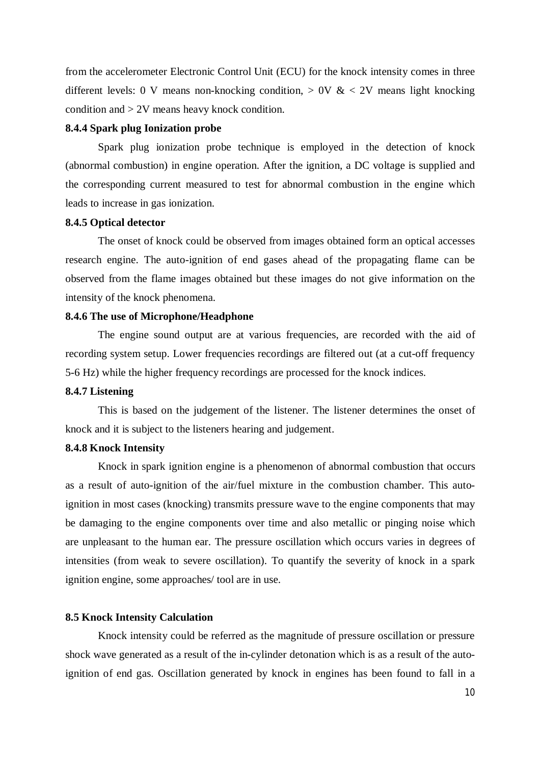from the accelerometer Electronic Control Unit (ECU) for the knock intensity comes in three different levels: 0 V means non-knocking condition,  $> 0V \& 2V$  means light knocking condition and > 2V means heavy knock condition.

## **8.4.4 Spark plug Ionization probe**

Spark plug ionization probe technique is employed in the detection of knock (abnormal combustion) in engine operation. After the ignition, a DC voltage is supplied and the corresponding current measured to test for abnormal combustion in the engine which leads to increase in gas ionization.

## **8.4.5 Optical detector**

The onset of knock could be observed from images obtained form an optical accesses research engine. The auto-ignition of end gases ahead of the propagating flame can be observed from the flame images obtained but these images do not give information on the intensity of the knock phenomena.

## **8.4.6 The use of Microphone/Headphone**

The engine sound output are at various frequencies, are recorded with the aid of recording system setup. Lower frequencies recordings are filtered out (at a cut-off frequency 5-6 Hz) while the higher frequency recordings are processed for the knock indices.

#### **8.4.7 Listening**

This is based on the judgement of the listener. The listener determines the onset of knock and it is subject to the listeners hearing and judgement.

## **8.4.8 Knock Intensity**

Knock in spark ignition engine is a phenomenon of abnormal combustion that occurs as a result of auto-ignition of the air/fuel mixture in the combustion chamber. This autoignition in most cases (knocking) transmits pressure wave to the engine components that may be damaging to the engine components over time and also metallic or pinging noise which are unpleasant to the human ear. The pressure oscillation which occurs varies in degrees of intensities (from weak to severe oscillation). To quantify the severity of knock in a spark ignition engine, some approaches/ tool are in use.

#### **8.5 Knock Intensity Calculation**

Knock intensity could be referred as the magnitude of pressure oscillation or pressure shock wave generated as a result of the in-cylinder detonation which is as a result of the autoignition of end gas. Oscillation generated by knock in engines has been found to fall in a